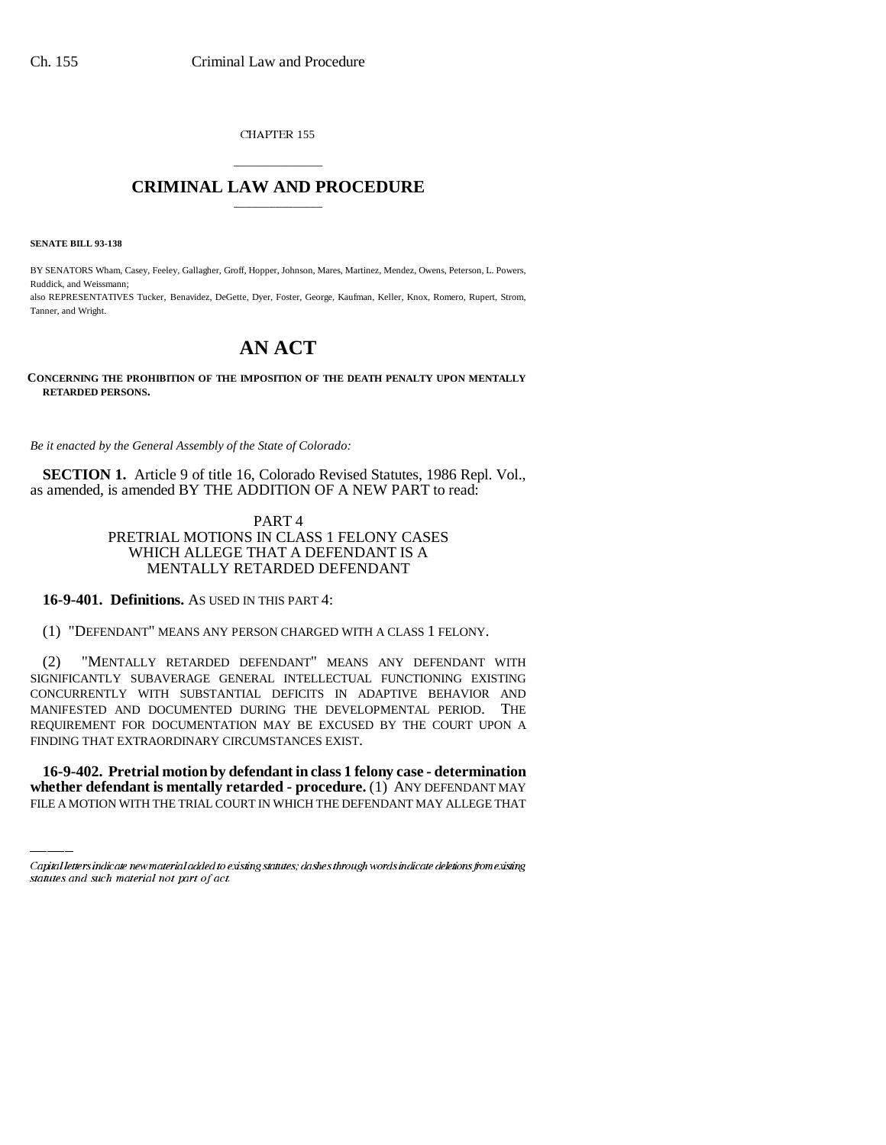CHAPTER 155

## \_\_\_\_\_\_\_\_\_\_\_\_\_\_\_ **CRIMINAL LAW AND PROCEDURE** \_\_\_\_\_\_\_\_\_\_\_\_\_\_\_

**SENATE BILL 93-138**

BY SENATORS Wham, Casey, Feeley, Gallagher, Groff, Hopper, Johnson, Mares, Martinez, Mendez, Owens, Peterson, L. Powers, Ruddick, and Weissmann;

also REPRESENTATIVES Tucker, Benavidez, DeGette, Dyer, Foster, George, Kaufman, Keller, Knox, Romero, Rupert, Strom, Tanner, and Wright.

## **AN ACT**

**CONCERNING THE PROHIBITION OF THE IMPOSITION OF THE DEATH PENALTY UPON MENTALLY RETARDED PERSONS.**

*Be it enacted by the General Assembly of the State of Colorado:*

**SECTION 1.** Article 9 of title 16, Colorado Revised Statutes, 1986 Repl. Vol., as amended, is amended BY THE ADDITION OF A NEW PART to read:

> PART 4 PRETRIAL MOTIONS IN CLASS 1 FELONY CASES WHICH ALLEGE THAT A DEFENDANT IS A MENTALLY RETARDED DEFENDANT

**16-9-401. Definitions.** AS USED IN THIS PART 4:

(1) "DEFENDANT" MEANS ANY PERSON CHARGED WITH A CLASS 1 FELONY.

FINDING THAT EXTRAORDINARY CIRCUMSTANCES EXIST. (2) "MENTALLY RETARDED DEFENDANT" MEANS ANY DEFENDANT WITH SIGNIFICANTLY SUBAVERAGE GENERAL INTELLECTUAL FUNCTIONING EXISTING CONCURRENTLY WITH SUBSTANTIAL DEFICITS IN ADAPTIVE BEHAVIOR AND MANIFESTED AND DOCUMENTED DURING THE DEVELOPMENTAL PERIOD. THE REQUIREMENT FOR DOCUMENTATION MAY BE EXCUSED BY THE COURT UPON A

**16-9-402. Pretrial motion by defendant in class 1 felony case - determination whether defendant is mentally retarded - procedure.** (1) ANY DEFENDANT MAY FILE A MOTION WITH THE TRIAL COURT IN WHICH THE DEFENDANT MAY ALLEGE THAT

Capital letters indicate new material added to existing statutes; dashes through words indicate deletions from existing statutes and such material not part of act.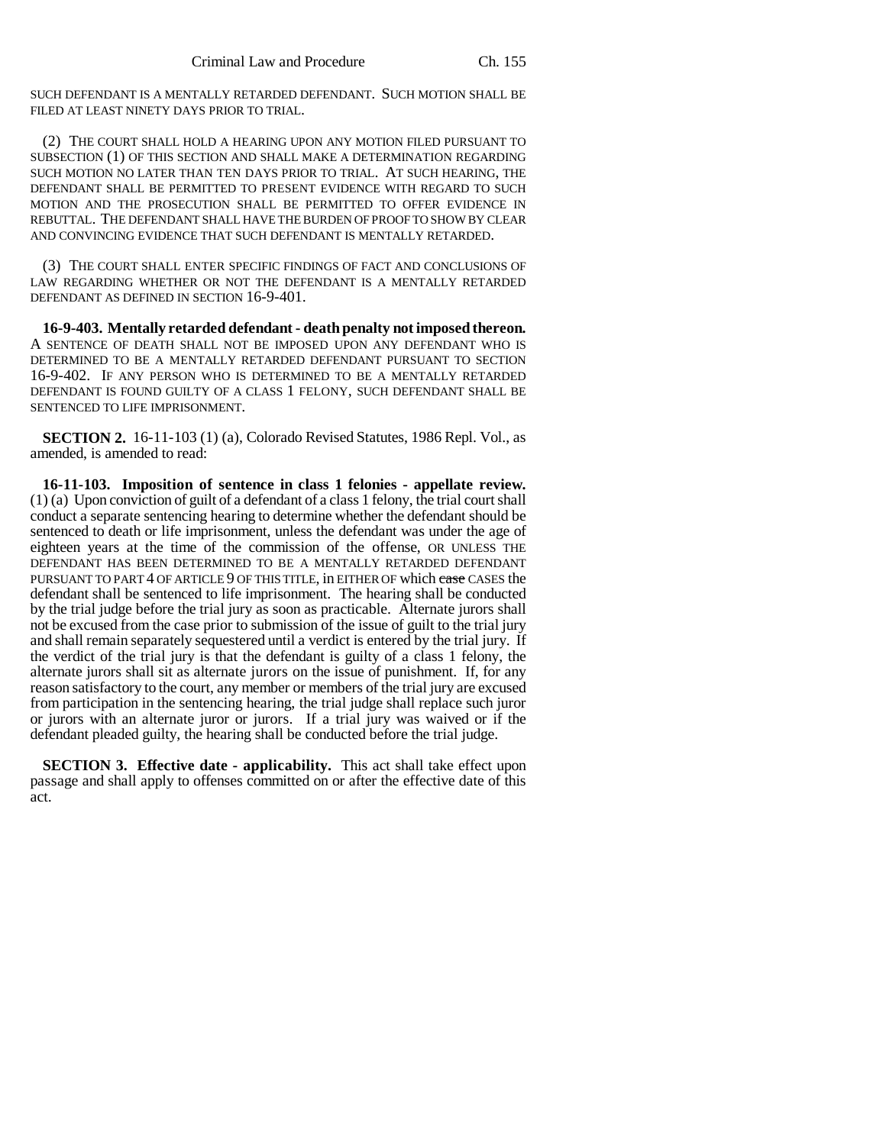SUCH DEFENDANT IS A MENTALLY RETARDED DEFENDANT. SUCH MOTION SHALL BE FILED AT LEAST NINETY DAYS PRIOR TO TRIAL.

(2) THE COURT SHALL HOLD A HEARING UPON ANY MOTION FILED PURSUANT TO SUBSECTION (1) OF THIS SECTION AND SHALL MAKE A DETERMINATION REGARDING SUCH MOTION NO LATER THAN TEN DAYS PRIOR TO TRIAL. AT SUCH HEARING, THE DEFENDANT SHALL BE PERMITTED TO PRESENT EVIDENCE WITH REGARD TO SUCH MOTION AND THE PROSECUTION SHALL BE PERMITTED TO OFFER EVIDENCE IN REBUTTAL. THE DEFENDANT SHALL HAVE THE BURDEN OF PROOF TO SHOW BY CLEAR AND CONVINCING EVIDENCE THAT SUCH DEFENDANT IS MENTALLY RETARDED.

(3) THE COURT SHALL ENTER SPECIFIC FINDINGS OF FACT AND CONCLUSIONS OF LAW REGARDING WHETHER OR NOT THE DEFENDANT IS A MENTALLY RETARDED DEFENDANT AS DEFINED IN SECTION 16-9-401.

**16-9-403. Mentally retarded defendant - death penalty not imposed thereon.** A SENTENCE OF DEATH SHALL NOT BE IMPOSED UPON ANY DEFENDANT WHO IS DETERMINED TO BE A MENTALLY RETARDED DEFENDANT PURSUANT TO SECTION 16-9-402. IF ANY PERSON WHO IS DETERMINED TO BE A MENTALLY RETARDED DEFENDANT IS FOUND GUILTY OF A CLASS 1 FELONY, SUCH DEFENDANT SHALL BE SENTENCED TO LIFE IMPRISONMENT.

**SECTION 2.** 16-11-103 (1) (a), Colorado Revised Statutes, 1986 Repl. Vol., as amended, is amended to read:

**16-11-103. Imposition of sentence in class 1 felonies - appellate review.** (1) (a) Upon conviction of guilt of a defendant of a class 1 felony, the trial court shall conduct a separate sentencing hearing to determine whether the defendant should be sentenced to death or life imprisonment, unless the defendant was under the age of eighteen years at the time of the commission of the offense, OR UNLESS THE DEFENDANT HAS BEEN DETERMINED TO BE A MENTALLY RETARDED DEFENDANT PURSUANT TO PART 4 OF ARTICLE 9 OF THIS TITLE, in EITHER OF which ease CASES the defendant shall be sentenced to life imprisonment. The hearing shall be conducted by the trial judge before the trial jury as soon as practicable. Alternate jurors shall not be excused from the case prior to submission of the issue of guilt to the trial jury and shall remain separately sequestered until a verdict is entered by the trial jury. If the verdict of the trial jury is that the defendant is guilty of a class 1 felony, the alternate jurors shall sit as alternate jurors on the issue of punishment. If, for any reason satisfactory to the court, any member or members of the trial jury are excused from participation in the sentencing hearing, the trial judge shall replace such juror or jurors with an alternate juror or jurors. If a trial jury was waived or if the defendant pleaded guilty, the hearing shall be conducted before the trial judge.

**SECTION 3. Effective date - applicability.** This act shall take effect upon passage and shall apply to offenses committed on or after the effective date of this act.